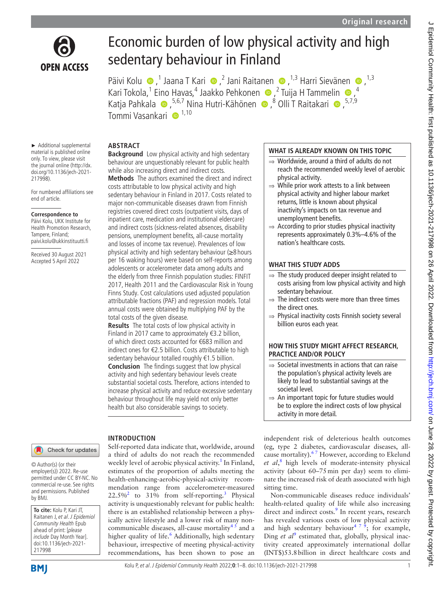

# Economic burden of low physical activity and high sedentary behaviour in Finland

PäiviKolu ●,<sup>1</sup> Jaana T Kari ●,<sup>2</sup> Jani Raitanen ●,<sup>1,3</sup> Harri Sievänen ●,<sup>1,3</sup> KariTokola,<sup>1</sup> Eino Havas,<sup>4</sup> Jaakko Pehkonen (D, <sup>2</sup> Tuija H Tammelin (D, <sup>4</sup> KatjaPahkala (D, <sup>5,6,7</sup> Nina Hutri-Kähönen (D, <sup>8</sup> Olli T Raitakari (D, <sup>5,7,9</sup> Tommi Vasankari  $\bigoplus$ <sup>1,10</sup>

► Additional supplemental material is published online only. To view, please visit the journal online [\(http://dx.](http://dx.doi.org/10.1136/jech-2021-217998) [doi.org/10.1136/jech-2021-](http://dx.doi.org/10.1136/jech-2021-217998) [217998](http://dx.doi.org/10.1136/jech-2021-217998)).

For numbered affiliations see end of article.

#### **Correspondence to**

Päivi Kolu, UKK Institute for Health Promotion Research, Tampere, Finland; paivi.kolu@ukkinstituutti.fi

Received 30 August 2021 Accepted 5 April 2022

# **ABSTRACT**

**Background** Low physical activity and high sedentary behaviour are unquestionably relevant for public health while also increasing direct and indirect costs. **Methods** The authors examined the direct and indirect costs attributable to low physical activity and high sedentary behaviour in Finland in 2017. Costs related to major non-communicable diseases drawn from Finnish registries covered direct costs (outpatient visits, days of inpatient care, medication and institutional eldercare) and indirect costs (sickness-related absences, disability pensions, unemployment benefits, all-cause mortality and losses of income tax revenue). Prevalences of low physical activity and high sedentary behaviour (≥8 hours per 16 waking hours) were based on self-reports among adolescents or accelerometer data among adults and the elderly from three Finnish population studies: FINFIT 2017, Health 2011 and the Cardiovascular Risk in Young Finns Study. Cost calculations used adjusted population attributable fractions (PAF) and regression models. Total annual costs were obtained by multiplying PAF by the total costs of the given disease.

**Results** The total costs of low physical activity in Finland in 2017 came to approximately €3.2 billion, of which direct costs accounted for €683 million and indirect ones for €2.5 billion. Costs attributable to high sedentary behaviour totalled roughly €1.5 billion. **Conclusion** The findings suggest that low physical activity and high sedentary behaviour levels create substantial societal costs. Therefore, actions intended to increase physical activity and reduce excessive sedentary behaviour throughout life may yield not only better health but also considerable savings to society.

#### **INTRODUCTION**

Self-reported data indicate that, worldwide, around a third of adults do not reach the recommended weekly level of aerobic physical activity.<sup>1</sup> In Finland, estimates of the proportion of adults meeting the health-enhancing-aerobic-physical-activity recommendation range from accelerometer-measured  $22.5\%$  $22.5\%$ <sup>2</sup> to [3](#page-6-2)1% from self-reporting.<sup>3</sup> Physical activity is unquestionably relevant for public health: there is an established relationship between a physically active lifestyle and a lower risk of many noncommunicable diseases, all-cause mortality<sup>45</sup> and a higher quality of life.<sup>6</sup> Additionally, high sedentary behaviour, irrespective of meeting physical-activity recommendations, has been shown to pose an

# **WHAT IS ALREADY KNOWN ON THIS TOPIC**

- ⇒ Worldwide, around a third of adults do not reach the recommended weekly level of aerobic physical activity.
- $\Rightarrow$  While prior work attests to a link between physical activity and higher labour market returns, little is known about physical inactivity's impacts on tax revenue and unemployment benefits.
- $\Rightarrow$  According to prior studies physical inactivity represents approximately 0.3%–4.6% of the nation's healthcare costs.

## **WHAT THIS STUDY ADDS**

- $\Rightarrow$  The study produced deeper insight related to costs arising from low physical activity and high sedentary behaviour.
- $\Rightarrow$  The indirect costs were more than three times the direct ones.
- ⇒ Physical inactivity costs Finnish society several billion euros each year.

## **HOW THIS STUDY MIGHT AFFECT RESEARCH, PRACTICE AND/OR POLICY**

- $\Rightarrow$  Societal investments in actions that can raise the population's physical activity levels are likely to lead to substantial savings at the societal level.
- ⇒ An important topic for future studies would be to explore the indirect costs of low physical activity in more detail.

independent risk of deleterious health outcomes (eg, type 2 diabetes, cardiovascular diseases, allcause mortality).<sup>67</sup> However, according to Ekelund et al,<sup>[8](#page-6-5)</sup> high levels of moderate-intensity physical activity (about 60–75min per day) seem to eliminate the increased risk of death associated with high sitting time.

Non-communicable diseases reduce individuals' health-related quality of life while also increasing direct and indirect costs.<sup>[9](#page-6-6)</sup> In recent years, research has revealed various costs of low physical activity and high sedentary behaviour<sup>479</sup>; for example, Ding *et al*<sup>[9](#page-6-6)</sup> estimated that, globally, physical inactivity created approximately international dollar (INT\$)53.8billion in direct healthcare costs and

Check for updates

© Author(s) (or their employer(s)) 2022. Re-use permitted under CC BY-NC. No commercial re-use. See rights and permissions. Published by BMJ.

**To cite:** Kolu P, Kari JT, Raitanen J, et al. J Epidemiol Community Health Epub ahead of print: [please include Day Month Year]. doi:10.1136/jech-2021- 217998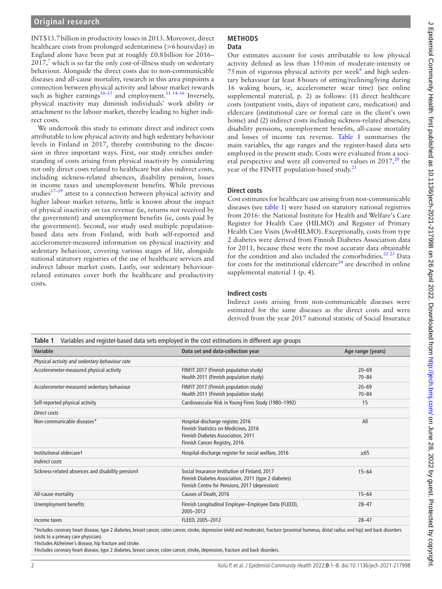INT\$13.7billion in productivity losses in 2013. Moreover, direct healthcare costs from prolonged sedentariness (>6 hours/day) in England alone have been put at roughly  $£0.8$  billion for 2016–  $2017$  $2017$ ,<sup>7</sup> which is so far the only cost-of-illness study on sedentary behaviour. Alongside the direct costs due to non-communicable diseases and all-cause mortality, research in this area pinpoints a connection between physical activity and labour market rewards such as higher earnings<sup>[10–13](#page-6-8)</sup> and employment.<sup>11 14–16</sup> Inversely, physical inactivity may diminish individuals' work ability or attachment to the labour market, thereby leading to higher indirect costs.

We undertook this study to estimate direct and indirect costs attributable to low physical activity and high sedentary behaviour levels in Finland in 2017, thereby contributing to the discussion in three important ways. First, our study enriches understanding of costs arising from physical inactivity by considering not only direct costs related to healthcare but also indirect costs, including sickness-related absences, disability pension, losses in income taxes and unemployment benefits. While previous studies $17-19$  attest to a connection between physical activity and higher labour market returns, little is known about the impact of physical inactivity on tax revenue (ie, returns not received by the government) and unemployment benefits (ie, costs paid by the government). Second, our study used multiple populationbased data sets from Finland, with both self-reported and accelerometer-measured information on physical inactivity and sedentary behaviour, covering various stages of life, alongside national statutory registries of the use of healthcare services and indirect labour market costs. Lastly, our sedentary behaviourrelated estimates cover both the healthcare and productivity costs.

#### **METHODS Data**

Our estimates account for costs attributable to low physical activity defined as less than 150min of moderate-intensity or 75 min of vigorous physical activity per week $6$  and high sedentary behaviour (at least 8hours of sitting/reclining/lying during 16 waking hours, ie, accelerometer wear time) (see [online](https://dx.doi.org/10.1136/jech-2021-217998) [supplemental material,](https://dx.doi.org/10.1136/jech-2021-217998) p. 2) as follows: (1) direct healthcare costs (outpatient visits, days of inpatient care, medication) and eldercare (institutional care or formal care in the client's own home) and (2) indirect costs including sickness-related absences, disability pensions, unemployment benefits, all-cause mortality and losses of income tax revenue. [Table](#page-1-0) 1 summarises the main variables, the age ranges and the register-based data sets employed in the present study. Costs were evaluated from a societal perspective and were all converted to values in  $2017<sup>20</sup>$  $2017<sup>20</sup>$  the year of the FINFIT population-based study.<sup>[21](#page-6-12)</sup>

#### **Direct costs**

Cost estimates for healthcare use arising from non-communicable diseases (see [table](#page-1-0) 1) were based on statutory national registries from 2016: the National Institute for Health and Welfare's Care Register for Health Care (HILMO) and Register of Primary Health Care Visits (AvoHILMO). Exceptionally, costs from type 2 diabetes were derived from Finnish Diabetes Association data for 2011, because these were the most accurate data obtainable for the condition and also included the comorbidities.<sup>[22 23](#page-6-13)</sup> Data for costs for the institutional eldercare<sup>[24](#page-7-0)</sup> are described in [online](https://dx.doi.org/10.1136/jech-2021-217998) [supplemental material 1](https://dx.doi.org/10.1136/jech-2021-217998) (p. 4).

#### **Indirect costs**

Indirect costs arising from non-communicable diseases were estimated for the same diseases as the direct costs and were derived from the year 2017 national statistic of Social Insurance

<span id="page-1-0"></span>

| Variables and register-based data sets employed in the cost estimations in different age groups<br>Table 1                                              |                        |  |  |  |
|---------------------------------------------------------------------------------------------------------------------------------------------------------|------------------------|--|--|--|
| Data set and data-collection year                                                                                                                       | Age range (years)      |  |  |  |
|                                                                                                                                                         |                        |  |  |  |
| FINFIT 2017 (Finnish population study)<br>Health 2011 (Finnish population study)                                                                        | $20 - 69$<br>$70 - 84$ |  |  |  |
| FINFIT 2017 (Finnish population study)<br>Health 2011 (Finnish population study)                                                                        | $20 - 69$<br>$70 - 84$ |  |  |  |
| Cardiovascular Risk in Young Finns Study (1980-1992)                                                                                                    | 15                     |  |  |  |
|                                                                                                                                                         |                        |  |  |  |
| Hospital-discharge register, 2016<br>Finnish Statistics on Medicines, 2016<br>Finnish Diabetes Association, 2011<br>Finnish Cancer Registry, 2016       | All                    |  |  |  |
| Hospital-discharge register for social welfare, 2016                                                                                                    | $\geq 65$              |  |  |  |
|                                                                                                                                                         |                        |  |  |  |
| Social Insurance Institution of Finland, 2017<br>Finnish Diabetes Association, 2011 (type 2 diabetes)<br>Finnish Centre for Pensions, 2017 (depression) | $15 - 64$              |  |  |  |
| Causes of Death, 2016                                                                                                                                   | $15 - 64$              |  |  |  |
| Finnish Longitudinal Employer-Employee Data (FLEED),<br>2005-2012                                                                                       | $28 - 47$              |  |  |  |
| FLEED, 2005-2012                                                                                                                                        | $28 - 47$              |  |  |  |
|                                                                                                                                                         |                        |  |  |  |

\*Includes coronary heart disease, type 2 diabetes, breast cancer, colon cancer, stroke, depression (mild and moderate), fracture (proximal humerus, distal radius and hip) and back disorders (visits to a primary care physician).

†Includes Alzheimer's disease, hip fracture and stroke.

‡Includes coronary heart disease, type 2 diabetes, breast cancer, colon cancer, stroke, depression, fracture and back disorders.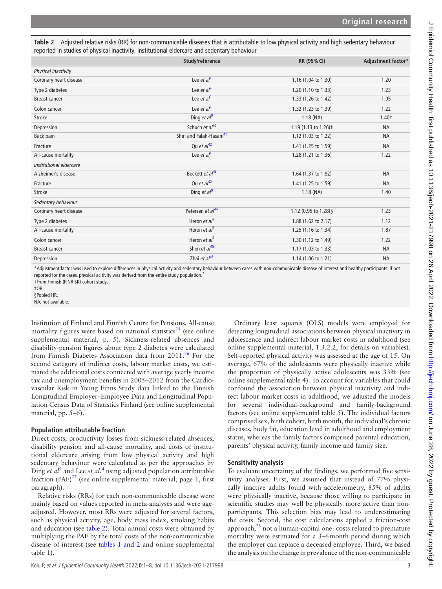<span id="page-2-0"></span>**Table 2** Adjusted relative risks (RR) for non-communicable diseases that is attributable to low physical activity and high sedentary behaviour reported in studies of physical inactivity, institutional eldercare and sedentary behaviour

|                         | Study/reference                      | RR (95% CI)           | Adjustment factor* |
|-------------------------|--------------------------------------|-----------------------|--------------------|
| Physical inactivity     |                                      |                       |                    |
| Coronary heart disease  | Lee et al <sup>4</sup>               | 1.16 (1.04 to 1.30)   | 1.20               |
| Type 2 diabetes         | Lee et $al4$                         | 1.20 (1.10 to 1.33)   | 1.23               |
| <b>Breast cancer</b>    | Lee et $al^4$                        | 1.33 (1.26 to 1.42)   | 1.05               |
| Colon cancer            | Lee et $al^4$                        | 1.32 (1.23 to 1.39)   | 1.22               |
| <b>Stroke</b>           | Ding et al <sup>9</sup>              | $1.18$ (NA)           | 1.40+              |
| Depression              | Schuch et $a^{40}$                   | 1.19 (1.13 to 1.26)‡  | <b>NA</b>          |
| Back pain               | Shiri and Falah-Hasani <sup>41</sup> | 1.12 (1.03 to 1.22)   | <b>NA</b>          |
| Fracture                | Qu et $a^{42}$                       | 1.41 (1.25 to 1.59)   | <b>NA</b>          |
| All-cause mortality     | Lee et $al4$                         | 1.28 (1.21 to 1.36)   | 1.22               |
| Institutional eldercare |                                      |                       |                    |
| Alzheimer's disease     | Beckett et $a^{43}$                  | 1.64 (1.37 to 1.92)   | <b>NA</b>          |
| Fracture                | Qu et $a^{42}$                       | 1.41 (1.25 to 1.59)   | <b>NA</b>          |
| <b>Stroke</b>           | Ding et $al^9$                       | $1.18$ (NA)           | 1.40               |
| Sedentary behaviour     |                                      |                       |                    |
| Coronary heart disease  | Petersen et al <sup>44</sup>         | 1.12 (0.95 to 1.28) § | 1.23               |
| Type 2 diabetes         | Heron et $al^7$                      | 1.88 (1.62 to 2.17)   | 1.12               |
| All-cause mortality     | Heron et $al^7$                      | 1.25 (1.16 to 1.34)   | 1.87               |
| Colon cancer            | Heron et $al^7$                      | 1.30 (1.12 to 1.49)   | 1.22               |
| <b>Breast cancer</b>    | Shen et $a^{45}$                     | 1.17 (1.03 to 1.33)   | <b>NA</b>          |
| Depression              | Zhai et al <sup>46</sup>             | 1.14 (1.06 to 1.21)   | <b>NA</b>          |

\*Adjustment factor was used to explore differences in physical activity and sedentary behaviour between cases with non-communicable disease of interest and healthy participants: If not reported for the cases, physical acitivity was derived from the entire study population.<sup>[7](#page-6-7)</sup> †From Finnish (FINRISK) cohort study.

‡OR.

§Pooled HR.

NA, not available.

Institution of Finland and Finnish Centre for Pensions. All-cause mortality figures were based on national statistics<sup>[25](#page-7-1)</sup> (see online [supplemental material,](https://dx.doi.org/10.1136/jech-2021-217998) p. 5). Sickness-related absences and disability-pension figures about type 2 diabetes were calculated from Finnish Diabetes Association data from  $2011$ .<sup>[26](#page-7-2)</sup> For the second category of indirect costs, labour market costs, we estimated the additional costs connected with average yearly income tax and unemployment benefits in 2005–2012 from the Cardiovascular Risk in Young Finns Study data linked to the Finnish Longitudinal Employer–Employee Data and Longitudinal Population Census Data of Statistics Finland (see [online supplemental](https://dx.doi.org/10.1136/jech-2021-217998)  [material](https://dx.doi.org/10.1136/jech-2021-217998), pp. 5–6).

#### **Population attributable fraction**

Direct costs, productivity losses from sickness-related absences, disability pension and all-cause mortality, and costs of institutional eldercare arising from low physical activity and high sedentary behaviour were calculated as per the approaches by Ding *et al*<sup>[9](#page-6-6)</sup> and Lee *et al*,<sup>[4](#page-6-3)</sup> using adjusted population attributable fraction  $(PAF)^{27}$  $(PAF)^{27}$  $(PAF)^{27}$  (see [online supplemental material,](https://dx.doi.org/10.1136/jech-2021-217998) page 1, first paragraph).

Relative risks (RRs) for each non-communicable disease were mainly based on values reported in meta-analyses and were ageadjusted. However, most RRs were adjusted for several factors, such as physical activity, age, body mass index, smoking habits and education (see [table](#page-2-0) 2). Total annual costs were obtained by multiplying the PAF by the total costs of the non-communicable disease of interest (see tables [1 and 2](#page-1-0) and [online supplemental](https://dx.doi.org/10.1136/jech-2021-217998)  [table 1](https://dx.doi.org/10.1136/jech-2021-217998)).

Ordinary least squares (OLS) models were employed for detecting longitudinal associations between physical inactivity in adolescence and indirect labour market costs in adulthood (see [online supplemental material,](https://dx.doi.org/10.1136/jech-2021-217998) 1.3.2.2, for details on variables). Self-reported physical activity was assessed at the age of 15. On average, 67% of the adolescents were physically inactive while the proportion of physically active adolescents was 33% (see [online supplemental table 4\)](https://dx.doi.org/10.1136/jech-2021-217998). To account for variables that could confound the association between physical inactivity and indirect labour market costs in adulthood, we adjusted the models for several individual-background and family-background factors (see [online supplemental table 5\)](https://dx.doi.org/10.1136/jech-2021-217998). The individual factors comprised sex, birth cohort, birth month, the individual's chronic diseases, body fat, education level in adulthood and employment status, whereas the family factors comprised parental education, parents' physical activity, family income and family size.

# **Sensitivity analysis**

To evaluate uncertainty of the findings, we performed five sensitivity analyses. First, we assumed that instead of 77% physically inactive adults found with accelerometry, 85% of adults were physically inactive, because those willing to participate in scientific studies may well be physically more active than nonparticipants. This selection bias may lead to underestimating the costs. Second, the cost calculations applied a friction-cost approach, $^{28}$  not a human-capital one: costs related to premature mortality were estimated for a 3–6month period during which the employer can replace a deceased employee. Third, we based the analysis on the change in prevalence of the non-communicable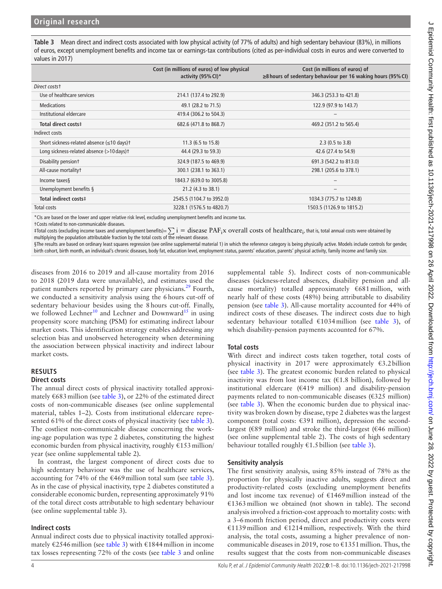<span id="page-3-0"></span>

|                 | Table 3 Mean direct and indirect costs associated with low physical activity (of 77% of adults) and high sedentary behaviour (83%), in millions   |
|-----------------|---------------------------------------------------------------------------------------------------------------------------------------------------|
|                 | of euros, except unemployment benefits and income tax or earnings-tax contributions (cited as per-individual costs in euros and were converted to |
| values in 2017) |                                                                                                                                                   |

|                                                               | Cost (in millions of euros) of low physical<br>activity (95% CI)* | Cost (in millions of euros) of<br>$\geq$ 8 hours of sedentary behaviour per 16 waking hours (95% CI) |
|---------------------------------------------------------------|-------------------------------------------------------------------|------------------------------------------------------------------------------------------------------|
| Direct costst                                                 |                                                                   |                                                                                                      |
| Use of healthcare services                                    | 214.1 (137.4 to 292.9)                                            | 346.3 (253.3 to 421.8)                                                                               |
| <b>Medications</b>                                            | 49.1 (28.2 to 71.5)                                               | 122.9 (97.9 to 143.7)                                                                                |
| Institutional eldercare                                       | 419.4 (306.2 to 504.3)                                            |                                                                                                      |
| Total direct costs‡                                           | 682.6 (471.8 to 868.7)                                            | 469.2 (351.2 to 565.4)                                                                               |
| Indirect costs                                                |                                                                   |                                                                                                      |
| Short sickness-related absence $(\leq 10 \text{ days})$ †     | 11.3 $(6.5 \text{ to } 15.8)$                                     | $2.3$ (0.5 to 3.8)                                                                                   |
| Long sickness-related absence $(>10 \text{ days})$ $\uparrow$ | 44.4 (29.3 to 59.3)                                               | 42.6 (27.4 to 54.9)                                                                                  |
| Disability pensiont                                           | 324.9 (187.5 to 469.9)                                            | 691.3 (542.2 to 813.0)                                                                               |
| All-cause mortalityt                                          | 300.1 (238.1 to 363.1)                                            | 298.1 (205.6 to 378.1)                                                                               |
| Income taxes                                                  | 1843.7 (639.0 to 3005.8)                                          |                                                                                                      |
| Unemployment benefits §                                       | $21.2$ (4.3 to 38.1)                                              | $\overline{\phantom{m}}$                                                                             |
| Total indirect costs‡                                         | 2545.5 (1104.7 to 3952.0)                                         | 1034.3 (775.7 to 1249.8)                                                                             |
| Total costs                                                   | 3228.1 (1576.5 to 4820.7)                                         | 1503.5 (1126.9 to 1815.2)                                                                            |
|                                                               |                                                                   |                                                                                                      |

\*CIs are based on the lower and upper relative risk level, excluding unemployment benefits and income tax.

†Costs related to non-communicable diseases.

‡Total costs (excluding income taxes and unemployment benefits)=  $\sum i =$  disease PAF<sub>i</sub>x overall costs of healthcare<sub>i</sub>, that is, total annual costs were obtained by multiplying the population attributable fraction by the total costs of the relevant disease.

§The results are based on ordinary least squares regression (see [online supplemental material 1\)](https://dx.doi.org/10.1136/jech-2021-217998) in which the reference category is being physically active. Models include controls for gender, birth cohort, birth month, an individual's chronic diseases, body fat, education level, employment status, parents' education, parents' physical activity, family income and family size.

diseases from 2016 to 2019 and all-cause mortality from 2016 to 2018 (2019 data were unavailable), and estimates used the patient numbers reported by primary care physicians.<sup>29</sup> Fourth, we conducted a sensitivity analysis using the 6hours cut-off of sedentary behaviour besides using the 8hours cut-off. Finally, we followed Lechner<sup>[10](#page-6-8)</sup> and Lechner and Downward<sup>[15](#page-6-14)</sup> in using propensity score matching (PSM) for estimating indirect labour market costs. This identification strategy enables addressing any selection bias and unobserved heterogeneity when determining the association between physical inactivity and indirect labour market costs.

#### **RESULTS**

#### **Direct costs**

The annual direct costs of physical inactivity totalled approximately  $\epsilon$ 683 million (see [table](#page-3-0) 3), or 22% of the estimated direct costs of non-communicable diseases (see [online supplemental](https://dx.doi.org/10.1136/jech-2021-217998)  [material, tables 1–2\)](https://dx.doi.org/10.1136/jech-2021-217998). Costs from institutional eldercare represented 61% of the direct costs of physical inactivity (see [table](#page-3-0) 3). The costliest non-communicable disease concerning the working-age population was type 2 diabetes, constituting the highest economic burden from physical inactivity, roughly  $£153$  million/ year (see [online supplemental table 2](https://dx.doi.org/10.1136/jech-2021-217998)).

In contrast, the largest component of direct costs due to high sedentary behaviour was the use of healthcare services, accounting for 74% of the  $\epsilon$ 469 million total sum (see [table](#page-3-0) 3). As in the case of physical inactivity, type 2 diabetes constituted a considerable economic burden, representing approximately 91% of the total direct costs attributable to high sedentary behaviour (see [online supplemental table 3\)](https://dx.doi.org/10.1136/jech-2021-217998).

#### **Indirect costs**

Annual indirect costs due to physical inactivity totalled approximately  $\epsilon$ 2546 million (see [table](#page-3-0) 3) with  $\epsilon$ 1844 million in income tax losses representing 72% of the costs (see [table](#page-3-0) 3 and [online](https://dx.doi.org/10.1136/jech-2021-217998)  [supplemental table 5](https://dx.doi.org/10.1136/jech-2021-217998)). Indirect costs of non-communicable diseases (sickness-related absences, disability pension and allcause mortality) totalled approximately  $€681$ million, with nearly half of these costs (48%) being attributable to disability pension (see [table](#page-3-0) 3). All-cause mortality accounted for 44% of indirect costs of these diseases. The indirect costs due to high sedentary behaviour totalled €1034million (see [table](#page-3-0) 3), of which disability-pension payments accounted for 67%.

#### **Total costs**

With direct and indirect costs taken together, total costs of physical inactivity in 2017 were approximately €3.2billion (see [table](#page-3-0) 3). The greatest economic burden related to physical inactivity was from lost income tax ( $E1.8$  billion), followed by institutional eldercare (€419 million) and disability-pension payments related to non-communicable diseases (€325 million) (see [table](#page-3-0) 3). When the economic burden due to physical inactivity was broken down by disease, type 2 diabetes was the largest component (total costs: €391 million), depression the secondlargest ( $€89$  million) and stroke the third-largest ( $€46$  million) (see [online supplemental table 2\)](https://dx.doi.org/10.1136/jech-2021-217998). The costs of high sedentary behaviour totalled roughly  $\epsilon$ 1.5 billion (see [table](#page-3-0) 3).

#### **Sensitivity analysis**

The first sensitivity analysis, using 85% instead of 78% as the proportion for physically inactive adults, suggests direct and productivity-related costs (excluding unemployment benefits and lost income tax revenue) of €1469million instead of the €1363million we obtained (not shown in table). The second analysis involved a friction-cost approach to mortality costs: with a 3–6month friction period, direct and productivity costs were €1139million and €1214million, respectively. With the third analysis, the total costs, assuming a higher prevalence of noncommunicable diseases in 2019, rose to €1351million. Thus, the results suggest that the costs from non-communicable diseases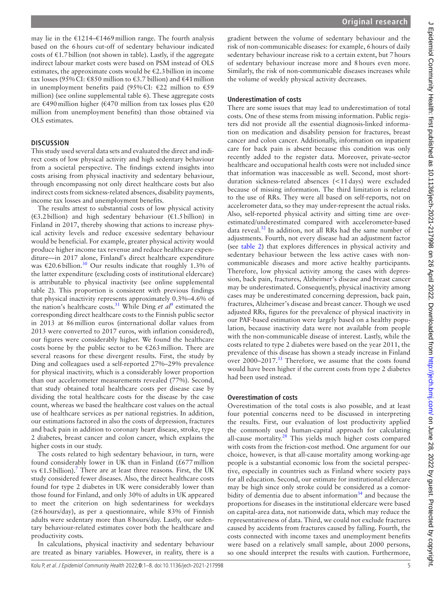gradient between the volume of sedentary behaviour and the risk of non-communicable diseases: for example, 6hours of daily sedentary behaviour increase risk to a certain extent, but 7hours of sedentary behaviour increase more and 8hours even more. Similarly, the risk of non-communicable diseases increases while the volume of weekly physical activity decreases. **Underestimation of costs** There are some issues that may lead to underestimation of total costs. One of these stems from missing information. Public registers did not provide all the essential diagnosis-linked information on medication and disability pension for fractures, breast cancer and colon cancer. Additionally, information on inpatient care for back pain is absent because this condition was only recently added to the register data. Moreover, private-sector healthcare and occupational health costs were not included since that information was inaccessible as well. Second, most shortduration sickness-related absences (<11days) were excluded because of missing information. The third limitation is related to the use of RRs. They were all based on self-reports, not on accelerometer data, so they may under-represent the actual risks. Also, self-reported physical activity and sitting time are overestimated/underestimated compared with accelerometer-based data reveal.<sup>[32](#page-7-15)</sup> In addition, not all RRs had the same number of adjustments. Fourth, not every disease had an adjustment factor (see [table](#page-2-0) 2) that explores differences in physical activity and sedentary behaviour between the less active cases with noncommunicable diseases and more active healthy participants. Therefore, low physical activity among the cases with depression, back pain, fractures, Alzheimer's disease and breast cancer may be underestimated. Consequently, physical inactivity among cases may be underestimated concerning depression, back pain, fractures, Alzheimer's disease and breast cancer. Though we used

adjusted RRs, figures for the prevalence of physical inactivity in our PAF-based estimation were largely based on a healthy population, because inactivity data were not available from people with the non-communicable disease of interest. Lastly, while the costs related to type 2 diabetes were based on the year 2011, the prevalence of this disease has shown a steady increase in Finland over 2000–2017.<sup>33</sup> Therefore, we assume that the costs found would have been higher if the current costs from type 2 diabetes had been used instead.

# **Overestimation of costs**

Overestimation of the total costs is also possible, and at least four potential concerns need to be discussed in interpreting the results. First, our evaluation of lost productivity applied the commonly used human-capital approach for calculating all-cause mortality.<sup>[28](#page-7-4)</sup> This yields much higher costs compared with costs from the friction-cost method. One argument for our choice, however, is that all-cause mortality among working-age people is a substantial economic loss from the societal perspective, especially in countries such as Finland where society pays for all education. Second, our estimate for institutional eldercare may be high since only stroke could be considered as a comorbidity of dementia due to absent information $34$  and because the proportions for diseases in the institutional eldercare were based on capital-area data, not nationwide data, which may reduce the representativeness of data. Third, we could not exclude fractures caused by accidents from fractures caused by falling. Fourth, the costs connected with income taxes and unemployment benefits were based on a relatively small sample, about 2000 persons, so one should interpret the results with caution. Furthermore,

may lie in the €1214–€1469 million range. The fourth analysis based on the 6hours cut-off of sedentary behaviour indicated costs of  $\epsilon$ 1.7 billion (not shown in table). Lastly, if the aggregate indirect labour market costs were based on PSM instead of OLS estimates, the approximate costs would be  $\epsilon$ 2.3 billion in income tax losses (95% CI: €850 million to €3.7 billion) and €41 million in unemployment benefits paid (95%CI: €22 million to €59 million) (see [online supplemental table 6](https://dx.doi.org/10.1136/jech-2021-217998)). These aggregate costs are €490million higher (€470 million from tax losses plus €20 million from unemployment benefits) than those obtained via OLS estimates.

# **DISCUSSION**

This study used several data sets and evaluated the direct and indirect costs of low physical activity and high sedentary behaviour from a societal perspective. The findings extend insights into costs arising from physical inactivity and sedentary behaviour, through encompassing not only direct healthcare costs but also indirect costs from sickness-related absences, disability payments, income tax losses and unemployment benefits.

The results attest to substantial costs of low physical activity (€3.2billion) and high sedentary behaviour (€1.5billion) in Finland in 2017, thereby showing that actions to increase physical activity levels and reduce excessive sedentary behaviour would be beneficial. For example, greater physical activity would produce higher income tax revenue and reduce healthcare expenditure—in 2017 alone, Finland's direct healthcare expenditure was  $\epsilon$ 20.6 billion.<sup>30</sup> Our results indicate that roughly 1.3% of the latter expenditure (excluding costs of institutional eldercare) is attributable to physical inactivity (see [online supplemental](https://dx.doi.org/10.1136/jech-2021-217998)  [table 2\)](https://dx.doi.org/10.1136/jech-2021-217998). This proportion is consistent with previous findings that physical inactivity represents approximately 0.3%–4.6% of the nation's healthcare costs.<sup>[31](#page-7-14)</sup> While Ding *et al*<sup>[9](#page-6-6)</sup> estimated the corresponding direct healthcare costs to the Finnish public sector in 2013 at 86million euros (international dollar values from 2013 were converted to 2017 euros, with inflation considered), our figures were considerably higher. We found the healthcare costs borne by the public sector to be  $\epsilon$ 263 million. There are several reasons for these divergent results. First, the study by Ding and colleagues used a self-reported 27%–29% prevalence for physical inactivity, which is a considerably lower proportion than our accelerometer measurements revealed (77%). Second, that study obtained total healthcare costs per disease case by dividing the total healthcare costs for the disease by the case count, whereas we based the healthcare cost values on the actual use of healthcare services as per national registries. In addition, our estimations factored in also the costs of depression, fractures and back pain in addition to coronary heart disease, stroke, type 2 diabetes, breast cancer and colon cancer, which explains the higher costs in our study.

The costs related to high sedentary behaviour, in turn, were found considerably lower in UK than in Finland  $(£677$  million vs  $\epsilon$ 1.5 billion).<sup>[7](#page-6-7)</sup> There are at least three reasons. First, the UK study considered fewer diseases. Also, the direct healthcare costs found for type 2 diabetes in UK were considerably lower than those found for Finland, and only 30% of adults in UK appeared to meet the criterion on high sedentariness for weekdays (≥6 hours/day), as per a questionnaire, while 83% of Finnish adults were sedentary more than 8hours/day. Lastly, our sedentary behaviour-related estimates cover both the healthcare and productivity costs.

In calculations, physical inactivity and sedentary behaviour are treated as binary variables. However, in reality, there is a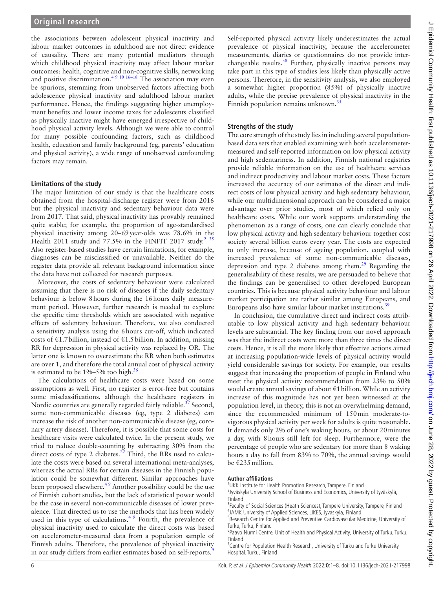the associations between adolescent physical inactivity and labour market outcomes in adulthood are not direct evidence of causality. There are many potential mediators through which childhood physical inactivity may affect labour market outcomes: health, cognitive and non-cognitive skills, networking and positive discrimination.<sup>4 9 10 16-18</sup> The association may even be spurious, stemming from unobserved factors affecting both adolescence physical inactivity and adulthood labour market performance. Hence, the findings suggesting higher unemployment benefits and lower income taxes for adolescents classified as physically inactive might have emerged irrespective of childhood physical activity levels. Although we were able to control for many possible confounding factors, such as childhood health, education and family background (eg, parents' education and physical activity), a wide range of unobserved confounding factors may remain.

#### **Limitations of the study**

The major limitation of our study is that the healthcare costs obtained from the hospital-discharge register were from 2016 but the physical inactivity and sedentary behaviour data were from 2017. That said, physical inactivity has provably remained quite stable; for example, the proportion of age-standardised physical inactivity among 20–69year-olds was 78.6% in the Health [2](#page-6-1)011 study and 77.5% in the FINFIT 2017 study.<sup>2 [35](#page-7-18)</sup> Also register-based studies have certain limitations, for example, diagnoses can be misclassified or unavailable. Neither do the register data provide all relevant background information since the data have not collected for research purposes.

Moreover, the costs of sedentary behaviour were calculated assuming that there is no risk of diseases if the daily sedentary behaviour is below 8hours during the 16hours daily measurement period. However, further research is needed to explore the specific time thresholds which are associated with negative effects of sedentary behaviour. Therefore, we also conducted a sensitivity analysis using the 6hours cut-off, which indicated costs of  $\epsilon$ 1.7 billion, instead of  $\epsilon$ 1.5 billion. In addition, missing RR for depression in physical activity was replaced by OR. The latter one is known to overestimate the RR when both estimates are over 1, and therefore the total annual cost of physical activity is estimated to be  $1\% - 5\%$  too high.<sup>[36](#page-7-19)</sup>

The calculations of healthcare costs were based on some assumptions as well. First, no register is error-free but contains some misclassifications, although the healthcare registers in Nordic countries are generally regarded fairly reliable.<sup>[37](#page-7-20)</sup> Second, some non-communicable diseases (eg, type 2 diabetes) can increase the risk of another non-communicable disease (eg, coronary artery disease). Therefore, it is possible that some costs for healthcare visits were calculated twice. In the present study, we tried to reduce double-counting by subtracting 30% from the direct costs of type 2 diabetes. $^{22}$  Third, the RRs used to calculate the costs were based on several international meta-analyses, whereas the actual RRs for certain diseases in the Finnish population could be somewhat different. Similar approaches have been proposed elsewhere.<sup>49</sup> Another possibility could be the use of Finnish cohort studies, but the lack of statistical power would be the case in several non-communicable diseases of lower prevalence. That directed us to use the methods that has been widely used in this type of calculations.<sup>4,9</sup> Fourth, the prevalence of physical inactivity used to calculate the direct costs was based on accelerometer-measured data from a population sample of Finnish adults. Therefore, the prevalence of physical inactivity in our study differs from earlier estimates based on self-reports.<sup>[9](#page-6-6)</sup>

Self-reported physical activity likely underestimates the actual prevalence of physical inactivity, because the accelerometer measurements, diaries or questionnaires do not provide inter-changeable results.<sup>[38](#page-7-21)</sup> Further, physically inactive persons may take part in this type of studies less likely than physically active persons. Therefore, in the sensitivity analysis, we also employed a somewhat higher proportion (85%) of physically inactive adults, while the precise prevalence of physical inactivity in the Finnish population remains unknown.<sup>[35](#page-7-18)</sup>

#### **Strengths of the study**

The core strength of the study lies in including several populationbased data sets that enabled examining with both accelerometermeasured and self-reported information on low physical activity and high sedentariness. In addition, Finnish national registries provide reliable information on the use of healthcare services and indirect productivity and labour market costs. These factors increased the accuracy of our estimates of the direct and indirect costs of low physical activity and high sedentary behaviour, while our multidimensional approach can be considered a major advantage over prior studies, most of which relied only on healthcare costs. While our work supports understanding the phenomenon as a range of costs, one can clearly conclude that low physical activity and high sedentary behaviour together cost society several billion euros every year. The costs are expected to only increase, because of ageing population, coupled with increased prevalence of some non-communicable diseases, depression and type 2 diabetes among them.<sup>29</sup> Regarding the generalisability of these results, we are persuaded to believe that the findings can be generalised to other developed European countries. This is because physical activity behaviour and labour market participation are rather similar among Europeans, and Europeans also have similar labour market institutions.<sup>35</sup>

In conclusion, the cumulative direct and indirect costs attributable to low physical activity and high sedentary behaviour levels are substantial. The key finding from our novel approach was that the indirect costs were more than three times the direct costs. Hence, it is all the more likely that effective actions aimed at increasing population-wide levels of physical activity would yield considerable savings for society. For example, our results suggest that increasing the proportion of people in Finland who meet the physical activity recommendation from 23% to 50% would create annual savings of about €1billion. While an activity increase of this magnitude has not yet been witnessed at the population level, in theory, this is not an overwhelming demand, since the recommended minimum of 150min moderate-tovigorous physical activity per week for adults is quite reasonable. It demands only 2% of one's waking hours, or about 20minutes a day, with 8hours still left for sleep. Furthermore, were the percentage of people who are sedentary for more than 8 waking hours a day to fall from 83% to 70%, the annual savings would be €235million.

#### **Author affiliations**

- <sup>1</sup>UKK Institute for Health Promotion Research, Tampere, Finland
- <sup>2</sup>Jyväskylä University School of Business and Economics, University of Jyväskylä, Finland
- <sup>3</sup> Faculty of Social Sciences (Heath Sciences), Tampere University, Tampere, Finland 4 JAMK University of Applied Sciences, LIKES, Jyvaskyla, Finland
- <sup>5</sup>Research Centre for Applied and Preventive Cardiovascular Medicine, University of Turku, Turku, Finland

<sup>7</sup> Centre for Population Health Research, University of Turku and Turku University Hospital, Turku, Finland

<sup>&</sup>lt;sup>6</sup> Paavo Nurmi Centre, Unit of Health and Physical Activity, University of Turku, Turku, Finland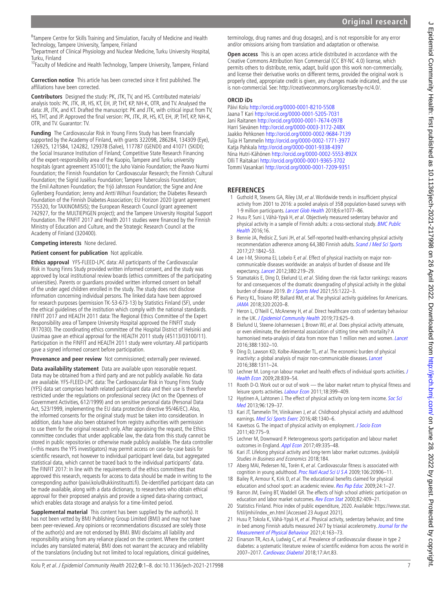terminology, drug names and drug dosages), and is not responsible for any error and/or omissions arising from translation and adaptation or otherwise.

**Open access** This is an open access article distributed in accordance with the Creative Commons Attribution Non Commercial (CC BY-NC 4.0) license, which permits others to distribute, remix, adapt, build upon this work non-commercially, and license their derivative works on different terms, provided the original work is properly cited, appropriate credit is given, any changes made indicated, and the use is non-commercial. See: [http://creativecommons.org/licenses/by-nc/4.0/.](http://creativecommons.org/licenses/by-nc/4.0/)

#### **ORCID iDs**

Päivi Kolu <http://orcid.org/0000-0001-8210-5508> Jaana T Kari<http://orcid.org/0000-0001-5205-7031> Jani Raitanen<http://orcid.org/0000-0001-7674-0978> Harri Sievänen<http://orcid.org/0000-0003-3172-248X> Jaakko Pehkonen <http://orcid.org/0000-0002-9684-7139> Tuija H Tammelin <http://orcid.org/0000-0002-1771-3977> Katja Pahkala<http://orcid.org/0000-0001-9338-4397> Nina Hutri-Kähönen <http://orcid.org/0000-0002-5553-892X> Olli T Raitakari <http://orcid.org/0000-0001-9365-3702> Tommi Vasankari <http://orcid.org/0000-0001-7209-9351>

#### **REFERENCES**

- <span id="page-6-0"></span>1 Guthold R, Stevens GA, Riley LM, et al. Worldwide trends in insufficient physical activity from 2001 to 2016: a pooled analysis of 358 population-based surveys with 1·9 million participants. [Lancet Glob Health](http://dx.doi.org/10.1016/S2214-109X(18)30357-7) 2018;6:e1077–86.
- <span id="page-6-1"></span>2 Husu P, Suni J, Vähä-Ypyä H, et al. Objectively measured sedentary behavior and physical activity in a sample of Finnish adults: a cross-sectional study. [BMC Public](http://dx.doi.org/10.1186/s12889-016-3591-y)  [Health](http://dx.doi.org/10.1186/s12889-016-3591-y) 2016;16.
- <span id="page-6-2"></span>3 Bennie JA, Pedisic Z, Suni JH, et al. Self-reported health-enhancing physical activity recommendation adherence among 64,380 Finnish adults. [Scand J Med Sci Sports](http://dx.doi.org/10.1111/sms.12863) 2017;27:1842–53.
- <span id="page-6-3"></span>4 Lee I-M, Shiroma EJ, Lobelo F, et al. Effect of physical inactivity on major noncommunicable diseases worldwide: an analysis of burden of disease and life expectancy. [Lancet](http://dx.doi.org/10.1016/S0140-6736(12)61031-9) 2012;380:219–29.
- 5 Stamatakis E, Ding D, Ekelund U, et al. Sliding down the risk factor rankings: reasons for and consequences of the dramatic downgrading of physical activity in the global burden of disease 2019. [Br J Sports Med](http://dx.doi.org/10.1136/bjsports-2021-104064) 2021;55:1222-3.
- <span id="page-6-4"></span>6 Piercy KL, Troiano RP, Ballard RM, et al. The physical activity guidelines for Americans. [JAMA](http://dx.doi.org/10.1001/jama.2018.14854) 2018;320:2020–8.
- <span id="page-6-7"></span>7 Heron L, O'Neill C, McAneney H, et al. Direct healthcare costs of sedentary behaviour in the UK. [J Epidemiol Community Health](http://dx.doi.org/10.1136/jech-2018-211758) 2019;73:625-9.
- <span id="page-6-5"></span>8 Ekelund U, Steene-Johannessen J, Brown WJ, et al. Does physical activity attenuate, or even eliminate, the detrimental association of sitting time with mortality? A harmonised meta-analysis of data from more than 1 million men and women. [Lancet](http://dx.doi.org/10.1016/S0140-6736(16)30370-1) 2016;388:1302–10.
- <span id="page-6-6"></span>9 Ding D, Lawson KD, Kolbe-Alexander TL, et al. The economic burden of physical inactivity: a global analysis of major non-communicable diseases. [Lancet](http://dx.doi.org/10.1016/S0140-6736(16)30383-X) 2016;388:1311–24.
- <span id="page-6-8"></span>10 Lechner M. Long-run labour market and health effects of individual sports activities. J [Health Econ](http://dx.doi.org/10.1016/j.jhealeco.2009.05.003) 2009;28:839–54.
- <span id="page-6-9"></span>11 Rooth D-O. Work out or out of work — the labor market return to physical fitness and leisure sports activities. [Labour Econ](http://dx.doi.org/10.1016/j.labeco.2010.11.006) 2011;18:399-409
- 12 Hyytinen A, Lahtonen J. The effect of physical activity on long-term income. Soc Sci [Med](http://dx.doi.org/10.1016/j.socscimed.2013.07.019) 2013;96:129–37.
- 13 Kari JT, Tammelin TH, Viinikainen J, et al. Childhood physical activity and adulthood earnings. [Med Sci Sports Exerc](http://dx.doi.org/10.1249/MSS.0000000000000895) 2016;48:1340-6.
- 14 Kavetsos G. The impact of physical activity on employment. [J Socio Econ](http://dx.doi.org/10.1016/j.socec.2011.08.011) 2011;40:775–9.
- <span id="page-6-14"></span>15 Lechner M, Downward P. Heterogeneous sports participation and labour market outcomes in England. [Appl Econ](http://dx.doi.org/10.1080/00036846.2016.1197369) 2017;49:335–48.
- 16 Kari JT. Lifelong physical activity and long-term labor market outcomes. Jyväskylä Studies in Business and Economics 2018;184.
- <span id="page-6-10"></span>17 Aberg MAI, Pedersen NL, Torén K, et al. Cardiovascular fitness is associated with cognition in young adulthood. [Proc Natl Acad Sci U S A](http://dx.doi.org/10.1073/pnas.0905307106) 2009;106:20906-11.
- 18 Bailey R, Armour K, Kirk D, et al. The educational benefits claimed for physical education and school sport: an academic review. [Res Pap Educ](http://dx.doi.org/10.1080/02671520701809817) 2009;24:1-27.
- 19 Barron JM, Ewing BT, Waddell GR. The effects of high school athletic participation on education and labor market outcomes. [Rev Econ Stat](http://dx.doi.org/10.1162/003465300558902) 2000:82:409-21.
- <span id="page-6-11"></span>20 Statistics Finland. Price index of public expenditure, 2020. Available: [https://www.stat.](https://www.stat.fi/til/jmhi/index_en.html) [fi/til/jmhi/index\\_en.html](https://www.stat.fi/til/jmhi/index_en.html) [Accessed 23 August 2021].
- <span id="page-6-12"></span>21 Husu P, Tokola K, Vähä-Ypyä H, et al. Physical activity, sedentary behavior, and time in bed among Finnish adults measured 24/7 by triaxial accelerometry. [Journal for the](http://dx.doi.org/10.1123/jmpb.2020-0056)  [Measurement of Physical Behaviour](http://dx.doi.org/10.1123/jmpb.2020-0056) 2021;4:163–73.
- <span id="page-6-13"></span>22 Einarson TR, Acs A, Ludwig C, et al. Prevalence of cardiovascular disease in type 2 diabetes: a systematic literature review of scientific evidence from across the world in 2007–2017. [Cardiovasc Diabetol](http://dx.doi.org/10.1186/s12933-018-0728-6) 2018;17:Art.83.

<sup>8</sup>Tampere Centre for Skills Training and Simulation, Faculty of Medicine and Health Technology, Tampere University, Tampere, Finland

<sup>9</sup>Department of Clinical Physiology and Nuclear Medicine, Turku University Hospital, Turku, Finland

<sup>10</sup>Faculty of Medicine and Health Technology, Tampere University, Tampere, Finland

**Correction notice** This article has been corrected since it first published. The affiliations have been corrected.

**Contributors** Designed the study: PK, JTK, TV, and HS. Contributed materials/ analysis tools: PK, JTK, JR, HS, KT, EH, JP, THT, KP, NH-K, OTR, and TV. Analysed the data: JR, JTK, and KT. Drafted the manuscript: PK and JTK, with critical input from TV, HS, THT, and JP. Approved the final version: PK, JTK, JR, HS, KT, EH, JP, THT, KP, NH-K, OTR, and TV. Guarantor: TV.

**Funding** The Cardiovascular Risk in Young Finns Study has been financially supported by the Academy of Finland, with grants 322098, 286284, 134309 (Eye), 126925, 121584, 124282, 129378 (Salve), 117787 (GENDI) and 41071 (SKIDI); the Social Insurance Institution of Finland; Competitive State Research Financing of the expert-responsibility area of the Kuopio, Tampere and Turku university hospitals (grant agreement X51001); the Juho Vainio Foundation; the Paavo Nurmi Foundation; the Finnish Foundation for Cardiovascular Research; the Finnish Cultural Foundation; the Sigrid Jusélius Foundation; Tampere Tuberculosis Foundation; the Emil Aaltonen Foundation; the Yrjö Jahnsson Foundation; the Signe and Ane Gyllenberg Foundation; Jenny and Antti Wihuri Foundation; the Diabetes Research Foundation of the Finnish Diabetes Association; EU Horizon 2020 (grant agreement 755320, for TAXINOMISIS); the European Research Council (grant agreement 742927, for the MULTIEPIGEN project); and the Tampere University Hospital Support Foundation. The FINFIT 2017 and Health 2011 studies were financed by the Finnish Ministry of Education and Culture, and the Strategic Research Council at the Academy of Finland (320400).

#### **Competing interests** None declared.

#### **Patient consent for publication** Not applicable.

**Ethics approval** YFS-FLEED-LPC data: All participants of the Cardiovascular Risk in Young Finns Study provided written informed consent, and the study was approved by local institutional review boards (ethics committees of the participating universities). Parents or guardians provided written informed consent on behalf of the under aged children enrolled in the study. The study does not disclose information concerning individual persons. The linked data have been approved for research purposes (permission TK-53-673-13) by Statistics Finland (SF), under the ethical guidelines of the institution which comply with the national standards. FINFIT 2017 and HEALTH 2011 data: The Regional Ethics Committee of the Expert Responsibility area of Tampere University Hospital approved the FINFIT study (R17030). The coordinating ethics committee of the Hospital District of Helsinki and Uusimaa gave an ethical approval for the HEALTH 2011 study (45113/03100/11). Participation in the FINFIT and HEALTH 2011 study were voluntary. All participants gave a signed informed consent before participation.

#### **Provenance and peer review** Not commissioned; externally peer reviewed.

**Data availability statement** Data are available upon reasonable request. Data may be obtained from a third party and are not publicly available. No data are available. YFS-FLEED-LPC data: The Cardiovascular Risk in Young Finns Study (YFS) data set comprises health related participant data and their use is therefore restricted under the regulations on professional secrecy (Act on the Openness of Government Activities, 612/1999) and on sensitive personal data (Personal Data Act, 523/1999, implementing the EU data protection directive 95/46/EC). Also, the informed consents for the original study must be taken into consideration. In addition, data have also been obtained from registry authorities with permission to use them for the original research only. After appraising the request, the Ethics committee concludes that under applicable law, the data from this study cannot be stored in public repositories or otherwise made publicly available. The data controller (=this means the YFS investigators) may permit access on case-by-case basis for scientific research, not however to individual participant level data, but aggregated statistical data, which cannot be traced back to the individual participants' data. The FINFIT 2017: In line with the requirements of the ethics committees that approved this research, requests for access to data should be made in writing to the corresponding author (paivi.kolu@ukkinstituutti.fi). De-identified participant data can be made available, along with a data dictionary, to researchers who obtain ethical approval for their proposed analysis and provide a signed data-sharing contract, which enables data storage and analysis for a time-limited period.

**Supplemental material** This content has been supplied by the author(s). It has not been vetted by BMJ Publishing Group Limited (BMJ) and may not have been peer-reviewed. Any opinions or recommendations discussed are solely those of the author(s) and are not endorsed by BMJ. BMJ disclaims all liability and responsibility arising from any reliance placed on the content. Where the content includes any translated material, BMJ does not warrant the accuracy and reliability of the translations (including but not limited to local regulations, clinical guidelines,